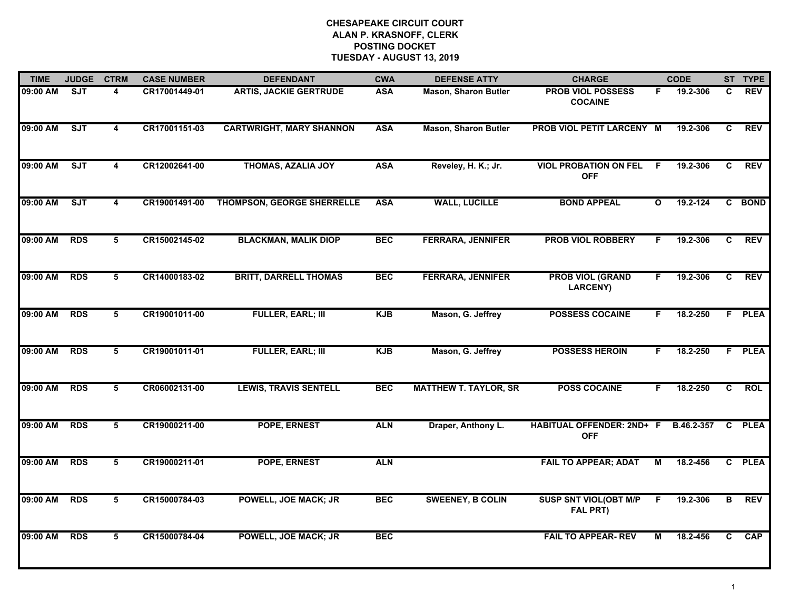| <b>TIME</b> | <b>JUDGE</b> | <b>CTRM</b>             | <b>CASE NUMBER</b> | <b>DEFENDANT</b>                  | <b>CWA</b> | <b>DEFENSE ATTY</b>          | <b>CHARGE</b>                                   |              | <b>CODE</b> |    | ST TYPE     |
|-------------|--------------|-------------------------|--------------------|-----------------------------------|------------|------------------------------|-------------------------------------------------|--------------|-------------|----|-------------|
| 09:00 AM    | SJT          | 4                       | CR17001449-01      | <b>ARTIS, JACKIE GERTRUDE</b>     | <b>ASA</b> | <b>Mason, Sharon Butler</b>  | <b>PROB VIOL POSSESS</b><br><b>COCAINE</b>      | F.           | 19.2-306    | C. | <b>REV</b>  |
| 09:00 AM    | ST           | $\overline{\mathbf{4}}$ | CR17001151-03      | <b>CARTWRIGHT, MARY SHANNON</b>   | <b>ASA</b> | <b>Mason, Sharon Butler</b>  | PROB VIOL PETIT LARCENY M                       |              | 19.2-306    | C  | <b>REV</b>  |
| 09:00 AM    | SJT          | $\overline{4}$          | CR12002641-00      | <b>THOMAS, AZALIA JOY</b>         | <b>ASA</b> | Reveley, H. K.; Jr.          | <b>VIOL PROBATION ON FEL</b><br><b>OFF</b>      | E            | 19.2-306    | C  | <b>REV</b>  |
| 09:00 AM    | ST           | 4                       | CR19001491-00      | <b>THOMPSON, GEORGE SHERRELLE</b> | <b>ASA</b> | <b>WALL, LUCILLE</b>         | <b>BOND APPEAL</b>                              | $\mathbf{o}$ | 19.2-124    |    | C BOND      |
| 09:00 AM    | <b>RDS</b>   | 5                       | CR15002145-02      | <b>BLACKMAN, MALIK DIOP</b>       | <b>BEC</b> | <b>FERRARA, JENNIFER</b>     | <b>PROB VIOL ROBBERY</b>                        | F.           | 19.2-306    | C  | <b>REV</b>  |
| 09:00 AM    | <b>RDS</b>   | 5                       | CR14000183-02      | <b>BRITT, DARRELL THOMAS</b>      | <b>BEC</b> | <b>FERRARA, JENNIFER</b>     | <b>PROB VIOL (GRAND</b><br>LARCENY)             | F.           | 19.2-306    | C. | <b>REV</b>  |
| 09:00 AM    | <b>RDS</b>   | 5                       | CR19001011-00      | <b>FULLER, EARL; III</b>          | <b>KJB</b> | Mason, G. Jeffrey            | <b>POSSESS COCAINE</b>                          | F.           | 18.2-250    |    | F PLEA      |
| 09:00 AM    | <b>RDS</b>   | 5                       | CR19001011-01      | <b>FULLER, EARL; III</b>          | <b>KJB</b> | Mason, G. Jeffrey            | <b>POSSESS HEROIN</b>                           | F            | 18.2-250    |    | F PLEA      |
| 09:00 AM    | <b>RDS</b>   | 5                       | CR06002131-00      | <b>LEWIS, TRAVIS SENTELL</b>      | <b>BEC</b> | <b>MATTHEW T. TAYLOR, SR</b> | <b>POSS COCAINE</b>                             | F.           | 18.2-250    | C  | <b>ROL</b>  |
| 09:00 AM    | <b>RDS</b>   | 5                       | CR19000211-00      | POPE, ERNEST                      | <b>ALN</b> | Draper, Anthony L.           | HABITUAL OFFENDER: 2ND+ F<br><b>OFF</b>         |              | B.46.2-357  | C. | <b>PLEA</b> |
| 09:00 AM    | <b>RDS</b>   | 5                       | CR19000211-01      | POPE, ERNEST                      | <b>ALN</b> |                              | <b>FAIL TO APPEAR; ADAT</b>                     | М            | 18.2-456    |    | C PLEA      |
| 09:00 AM    | <b>RDS</b>   | 5                       | CR15000784-03      | <b>POWELL, JOE MACK; JR</b>       | <b>BEC</b> | <b>SWEENEY, B COLIN</b>      | <b>SUSP SNT VIOL(OBT M/P</b><br><b>FAL PRT)</b> | F            | 19.2-306    | B  | <b>REV</b>  |
| 09:00 AM    | <b>RDS</b>   | 5                       | CR15000784-04      | <b>POWELL, JOE MACK; JR</b>       | <b>BEC</b> |                              | <b>FAIL TO APPEAR- REV</b>                      | М            | 18.2-456    | C. | <b>CAP</b>  |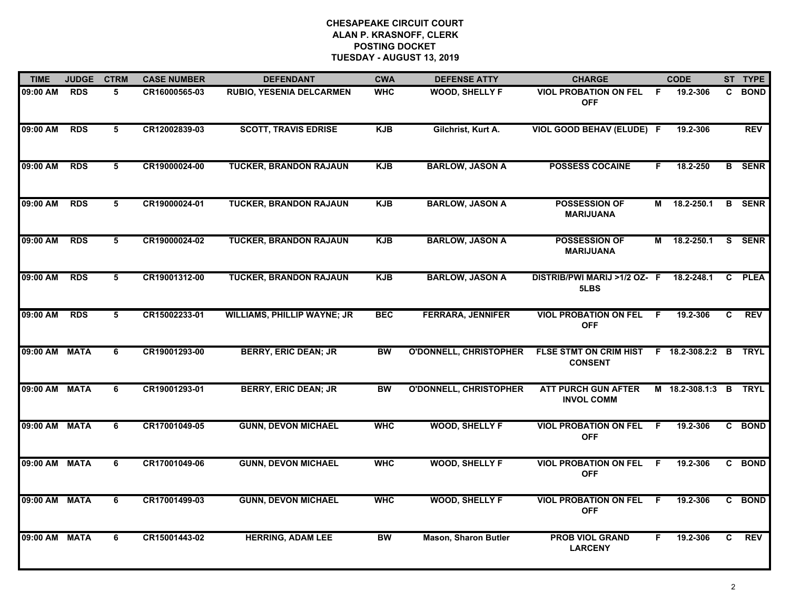| <b>TIME</b>   | <b>JUDGE</b> | <b>CTRM</b> | <b>CASE NUMBER</b> | <b>DEFENDANT</b>                   | <b>CWA</b> | <b>DEFENSE ATTY</b>           | <b>CHARGE</b>                                   |    | <b>CODE</b>           |    | ST TYPE       |
|---------------|--------------|-------------|--------------------|------------------------------------|------------|-------------------------------|-------------------------------------------------|----|-----------------------|----|---------------|
| 09:00 AM      | <b>RDS</b>   | 5           | CR16000565-03      | <b>RUBIO, YESENIA DELCARMEN</b>    | <b>WHC</b> | <b>WOOD, SHELLY F</b>         | <b>VIOL PROBATION ON FEL</b><br><b>OFF</b>      | -F | 19.2-306              | C. | <b>BOND</b>   |
| 09:00 AM      | <b>RDS</b>   | 5           | CR12002839-03      | <b>SCOTT, TRAVIS EDRISE</b>        | <b>KJB</b> | Gilchrist, Kurt A.            | <b>VIOL GOOD BEHAV (ELUDE) F</b>                |    | 19.2-306              |    | <b>REV</b>    |
| 09:00 AM      | <b>RDS</b>   | 5           | CR19000024-00      | <b>TUCKER, BRANDON RAJAUN</b>      | <b>KJB</b> | <b>BARLOW, JASON A</b>        | <b>POSSESS COCAINE</b>                          | F  | 18.2-250              |    | <b>B</b> SENR |
| 09:00 AM      | <b>RDS</b>   | 5           | CR19000024-01      | <b>TUCKER, BRANDON RAJAUN</b>      | <b>KJB</b> | <b>BARLOW, JASON A</b>        | <b>POSSESSION OF</b><br><b>MARIJUANA</b>        | М  | 18.2-250.1            |    | <b>B</b> SENR |
| 09:00 AM      | <b>RDS</b>   | 5           | CR19000024-02      | <b>TUCKER, BRANDON RAJAUN</b>      | <b>KJB</b> | <b>BARLOW, JASON A</b>        | <b>POSSESSION OF</b><br><b>MARIJUANA</b>        | М  | 18.2-250.1            | S. | <b>SENR</b>   |
| 09:00 AM      | <b>RDS</b>   | 5           | CR19001312-00      | <b>TUCKER, BRANDON RAJAUN</b>      | <b>KJB</b> | <b>BARLOW, JASON A</b>        | DISTRIB/PWI MARIJ >1/2 OZ- F<br>5LBS            |    | 18.2-248.1            | C  | <b>PLEA</b>   |
| 09:00 AM      | <b>RDS</b>   | 5           | CR15002233-01      | <b>WILLIAMS, PHILLIP WAYNE; JR</b> | <b>BEC</b> | <b>FERRARA, JENNIFER</b>      | <b>VIOL PROBATION ON FEL</b><br><b>OFF</b>      | -F | 19.2-306              | C  | <b>REV</b>    |
| 09:00 AM MATA |              | 6           | CR19001293-00      | <b>BERRY, ERIC DEAN; JR</b>        | <b>BW</b>  | <b>O'DONNELL, CHRISTOPHER</b> | <b>FLSE STMT ON CRIM HIST</b><br><b>CONSENT</b> |    | F 18.2-308.2:2 B      |    | <b>TRYL</b>   |
| 09:00 AM MATA |              | 6           | CR19001293-01      | <b>BERRY, ERIC DEAN; JR</b>        | <b>BW</b>  | <b>O'DONNELL, CHRISTOPHER</b> | <b>ATT PURCH GUN AFTER</b><br><b>INVOL COMM</b> |    | M 18.2-308.1:3 B TRYL |    |               |
| 09:00 AM MATA |              | 6           | CR17001049-05      | <b>GUNN, DEVON MICHAEL</b>         | <b>WHC</b> | <b>WOOD, SHELLY F</b>         | <b>VIOL PROBATION ON FEL</b><br><b>OFF</b>      | -F | 19.2-306              |    | C BOND        |
| 09:00 AM MATA |              | 6           | CR17001049-06      | <b>GUNN, DEVON MICHAEL</b>         | <b>WHC</b> | <b>WOOD, SHELLY F</b>         | <b>VIOL PROBATION ON FEL</b><br><b>OFF</b>      | -F | 19.2-306              |    | C BOND        |
| 09:00 AM      | <b>MATA</b>  | 6           | CR17001499-03      | <b>GUNN, DEVON MICHAEL</b>         | <b>WHC</b> | <b>WOOD, SHELLY F</b>         | <b>VIOL PROBATION ON FEL</b><br><b>OFF</b>      | F. | 19.2-306              |    | C BOND        |
| 09:00 AM MATA |              | 6           | CR15001443-02      | <b>HERRING, ADAM LEE</b>           | <b>BW</b>  | <b>Mason, Sharon Butler</b>   | <b>PROB VIOL GRAND</b><br><b>LARCENY</b>        | F. | 19.2-306              | C. | <b>REV</b>    |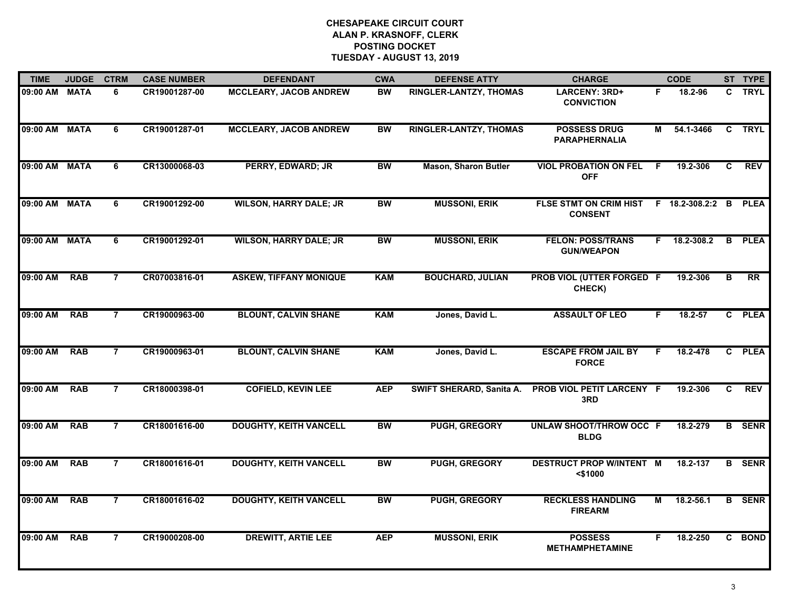| <b>TIME</b>   | <b>JUDGE</b> | <b>CTRM</b>    | <b>CASE NUMBER</b> | <b>DEFENDANT</b>              | <b>CWA</b> | <b>DEFENSE ATTY</b>           | <b>CHARGE</b>                                             |    | <b>CODE</b>  |              | ST TYPE       |
|---------------|--------------|----------------|--------------------|-------------------------------|------------|-------------------------------|-----------------------------------------------------------|----|--------------|--------------|---------------|
| 09:00 AM MATA |              | 6              | CR19001287-00      | <b>MCCLEARY, JACOB ANDREW</b> | <b>BW</b>  | RINGLER-LANTZY, THOMAS        | LARCENY: 3RD+<br><b>CONVICTION</b>                        | F. | 18.2-96      |              | C TRYL        |
| 09:00 AM MATA |              | 6              | CR19001287-01      | <b>MCCLEARY, JACOB ANDREW</b> | <b>BW</b>  | <b>RINGLER-LANTZY, THOMAS</b> | <b>POSSESS DRUG</b><br><b>PARAPHERNALIA</b>               | М  | 54.1-3466    |              | C TRYL        |
| 09:00 AM MATA |              | 6              | CR13000068-03      | <b>PERRY, EDWARD; JR</b>      | <b>BW</b>  | <b>Mason, Sharon Butler</b>   | <b>VIOL PROBATION ON FEL</b><br><b>OFF</b>                | F  | 19.2-306     | C            | <b>REV</b>    |
| 09:00 AM MATA |              | 6              | CR19001292-00      | <b>WILSON, HARRY DALE; JR</b> | <b>BW</b>  | <b>MUSSONI, ERIK</b>          | FLSE STMT ON CRIM HIST F 18.2-308.2:2 B<br><b>CONSENT</b> |    |              |              | <b>PLEA</b>   |
| 09:00 AM MATA |              | 6              | CR19001292-01      | <b>WILSON, HARRY DALE; JR</b> | <b>BW</b>  | <b>MUSSONI, ERIK</b>          | <b>FELON: POSS/TRANS</b><br><b>GUN/WEAPON</b>             |    | F 18.2-308.2 |              | <b>B</b> PLEA |
| 09:00 AM      | <b>RAB</b>   | $\overline{7}$ | CR07003816-01      | <b>ASKEW, TIFFANY MONIQUE</b> | <b>KAM</b> | <b>BOUCHARD, JULIAN</b>       | PROB VIOL (UTTER FORGED F<br>CHECK)                       |    | 19.2-306     | в            | <b>RR</b>     |
| 09:00 AM      | <b>RAB</b>   | $\overline{7}$ | CR19000963-00      | <b>BLOUNT, CALVIN SHANE</b>   | <b>KAM</b> | Jones, David L.               | <b>ASSAULT OF LEO</b>                                     | F  | 18.2-57      | $\mathbf{C}$ | <b>PLEA</b>   |
| 09:00 AM      | <b>RAB</b>   | $\overline{7}$ | CR19000963-01      | <b>BLOUNT, CALVIN SHANE</b>   | <b>KAM</b> | Jones, David L.               | <b>ESCAPE FROM JAIL BY</b><br><b>FORCE</b>                | F. | 18.2-478     | $\mathbf{c}$ | <b>PLEA</b>   |
| 09:00 AM      | <b>RAB</b>   | $\overline{7}$ | CR18000398-01      | <b>COFIELD, KEVIN LEE</b>     | <b>AEP</b> | SWIFT SHERARD, Sanita A.      | <b>PROB VIOL PETIT LARCENY F</b><br>3RD                   |    | 19.2-306     | C            | <b>REV</b>    |
| 09:00 AM      | <b>RAB</b>   | $\overline{7}$ | CR18001616-00      | <b>DOUGHTY, KEITH VANCELL</b> | <b>BW</b>  | PUGH, GREGORY                 | <b>UNLAW SHOOT/THROW OCC F</b><br><b>BLDG</b>             |    | 18.2-279     |              | <b>B</b> SENR |
| 09:00 AM      | <b>RAB</b>   | $\overline{7}$ | CR18001616-01      | <b>DOUGHTY, KEITH VANCELL</b> | <b>BW</b>  | PUGH, GREGORY                 | <b>DESTRUCT PROP W/INTENT M</b><br>$<$ \$1000             |    | 18.2-137     |              | <b>B</b> SENR |
| 09:00 AM      | <b>RAB</b>   | $\overline{7}$ | CR18001616-02      | <b>DOUGHTY, KEITH VANCELL</b> | <b>BW</b>  | PUGH, GREGORY                 | <b>RECKLESS HANDLING</b><br><b>FIREARM</b>                | М  | 18.2-56.1    | B            | <b>SENR</b>   |
| 09:00 AM      | <b>RAB</b>   | $\overline{7}$ | CR19000208-00      | <b>DREWITT, ARTIE LEE</b>     | <b>AEP</b> | <b>MUSSONI, ERIK</b>          | <b>POSSESS</b><br><b>METHAMPHETAMINE</b>                  | F  | 18.2-250     |              | C BOND        |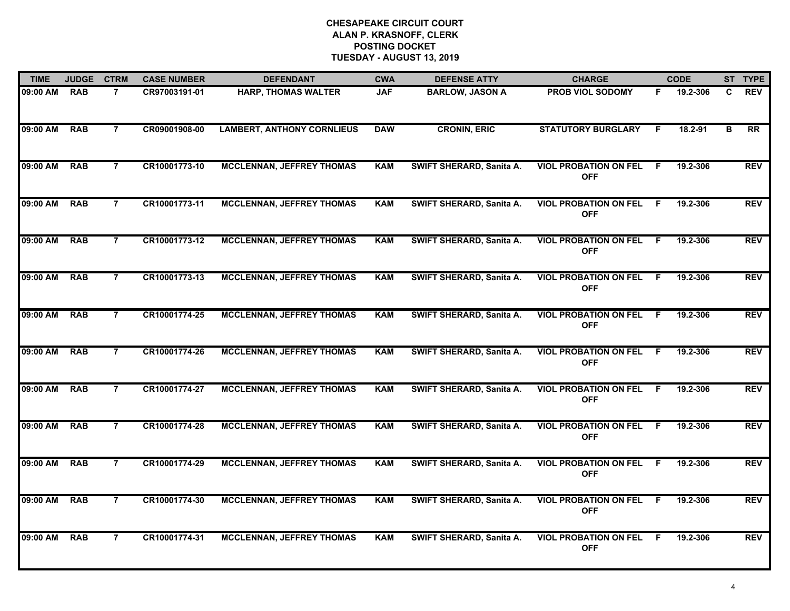| <b>TIME</b> | <b>JUDGE</b> | <b>CTRM</b>    | <b>CASE NUMBER</b> | <b>DEFENDANT</b>                  | <b>CWA</b> | <b>DEFENSE ATTY</b>      | <b>CHARGE</b>                                |     | <b>CODE</b> |   | ST TYPE    |
|-------------|--------------|----------------|--------------------|-----------------------------------|------------|--------------------------|----------------------------------------------|-----|-------------|---|------------|
| 09:00 AM    | <b>RAB</b>   | 7              | CR97003191-01      | <b>HARP, THOMAS WALTER</b>        | <b>JAF</b> | <b>BARLOW, JASON A</b>   | PROB VIOL SODOMY                             | F.  | 19.2-306    | C | <b>REV</b> |
| 09:00 AM    | <b>RAB</b>   | $\overline{7}$ | CR09001908-00      | <b>LAMBERT, ANTHONY CORNLIEUS</b> | <b>DAW</b> | <b>CRONIN, ERIC</b>      | <b>STATUTORY BURGLARY</b>                    | F.  | 18.2-91     | в | <b>RR</b>  |
| 09:00 AM    | <b>RAB</b>   | $\overline{7}$ | CR10001773-10      | <b>MCCLENNAN, JEFFREY THOMAS</b>  | <b>KAM</b> | SWIFT SHERARD, Sanita A. | <b>VIOL PROBATION ON FEL</b><br><b>OFF</b>   | F.  | 19.2-306    |   | <b>REV</b> |
| 09:00 AM    | <b>RAB</b>   | 7              | CR10001773-11      | <b>MCCLENNAN, JEFFREY THOMAS</b>  | <b>KAM</b> | SWIFT SHERARD, Sanita A. | <b>VIOL PROBATION ON FEL</b><br><b>OFF</b>   | - F | 19.2-306    |   | <b>REV</b> |
| 09:00 AM    | <b>RAB</b>   | $\overline{7}$ | CR10001773-12      | <b>MCCLENNAN, JEFFREY THOMAS</b>  | <b>KAM</b> | SWIFT SHERARD, Sanita A. | <b>VIOL PROBATION ON FEL F</b><br><b>OFF</b> |     | 19.2-306    |   | <b>REV</b> |
| 09:00 AM    | <b>RAB</b>   | $\overline{7}$ | CR10001773-13      | <b>MCCLENNAN, JEFFREY THOMAS</b>  | <b>KAM</b> | SWIFT SHERARD, Sanita A. | <b>VIOL PROBATION ON FEL</b><br><b>OFF</b>   | - F | 19.2-306    |   | <b>REV</b> |
| 09:00 AM    | <b>RAB</b>   | $\overline{7}$ | CR10001774-25      | <b>MCCLENNAN, JEFFREY THOMAS</b>  | <b>KAM</b> | SWIFT SHERARD, Sanita A. | <b>VIOL PROBATION ON FEL</b><br><b>OFF</b>   | F.  | 19.2-306    |   | <b>REV</b> |
| 09:00 AM    | <b>RAB</b>   | $\overline{7}$ | CR10001774-26      | <b>MCCLENNAN, JEFFREY THOMAS</b>  | <b>KAM</b> | SWIFT SHERARD, Sanita A. | <b>VIOL PROBATION ON FEL F</b><br><b>OFF</b> |     | 19.2-306    |   | <b>REV</b> |
| 09:00 AM    | <b>RAB</b>   | 7              | CR10001774-27      | <b>MCCLENNAN, JEFFREY THOMAS</b>  | <b>KAM</b> | SWIFT SHERARD, Sanita A. | <b>VIOL PROBATION ON FEL</b><br><b>OFF</b>   | F   | 19.2-306    |   | <b>REV</b> |
| 09:00 AM    | <b>RAB</b>   | $\overline{7}$ | CR10001774-28      | <b>MCCLENNAN, JEFFREY THOMAS</b>  | <b>KAM</b> | SWIFT SHERARD, Sanita A. | <b>VIOL PROBATION ON FEL</b><br><b>OFF</b>   | -F  | 19.2-306    |   | <b>REV</b> |
| 09:00 AM    | <b>RAB</b>   | $\overline{7}$ | CR10001774-29      | <b>MCCLENNAN, JEFFREY THOMAS</b>  | <b>KAM</b> | SWIFT SHERARD, Sanita A. | <b>VIOL PROBATION ON FEL</b><br><b>OFF</b>   | - F | 19.2-306    |   | <b>REV</b> |
| 09:00 AM    | <b>RAB</b>   | $\overline{7}$ | CR10001774-30      | <b>MCCLENNAN, JEFFREY THOMAS</b>  | <b>KAM</b> | SWIFT SHERARD, Sanita A. | <b>VIOL PROBATION ON FEL</b><br><b>OFF</b>   | -F. | 19.2-306    |   | <b>REV</b> |
| 09:00 AM    | <b>RAB</b>   | $\overline{7}$ | CR10001774-31      | <b>MCCLENNAN, JEFFREY THOMAS</b>  | <b>KAM</b> | SWIFT SHERARD, Sanita A. | <b>VIOL PROBATION ON FEL</b><br><b>OFF</b>   | -F  | 19.2-306    |   | <b>REV</b> |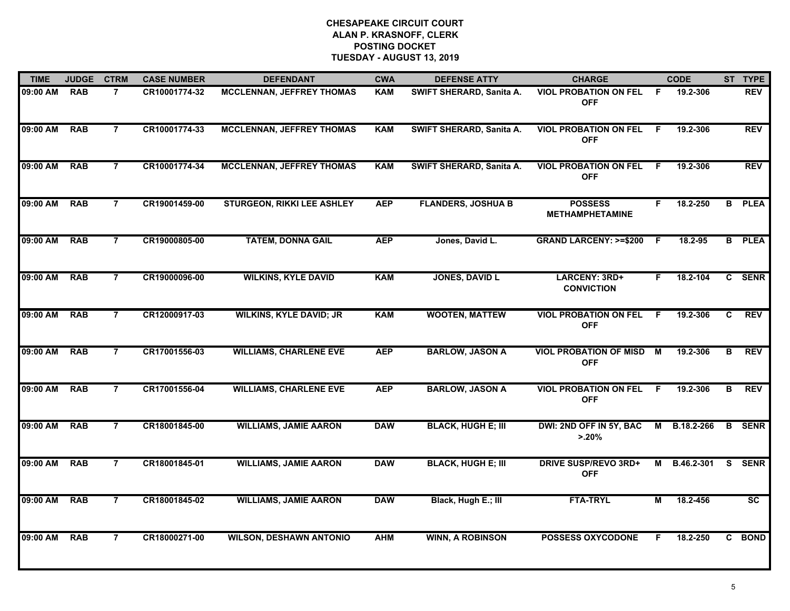| <b>TIME</b>  | <b>JUDGE</b> | <b>CTRM</b>    | <b>CASE NUMBER</b> | <b>DEFENDANT</b>                  | <b>CWA</b> | <b>DEFENSE ATTY</b>       | <b>CHARGE</b>                               |    | <b>CODE</b>  |              | ST TYPE       |
|--------------|--------------|----------------|--------------------|-----------------------------------|------------|---------------------------|---------------------------------------------|----|--------------|--------------|---------------|
| 09:00 AM     | <b>RAB</b>   | $\overline{7}$ | CR10001774-32      | <b>MCCLENNAN, JEFFREY THOMAS</b>  | <b>KAM</b> | SWIFT SHERARD, Sanita A.  | <b>VIOL PROBATION ON FEL</b><br><b>OFF</b>  | -F | 19.2-306     |              | <b>REV</b>    |
| 09:00 AM     | <b>RAB</b>   | $\overline{7}$ | CR10001774-33      | <b>MCCLENNAN, JEFFREY THOMAS</b>  | <b>KAM</b> | SWIFT SHERARD, Sanita A.  | <b>VIOL PROBATION ON FEL</b><br><b>OFF</b>  | F. | 19.2-306     |              | <b>REV</b>    |
| 09:00 AM     | <b>RAB</b>   | $\overline{7}$ | CR10001774-34      | <b>MCCLENNAN, JEFFREY THOMAS</b>  | <b>KAM</b> | SWIFT SHERARD, Sanita A.  | <b>VIOL PROBATION ON FEL</b><br><b>OFF</b>  | -F | 19.2-306     |              | <b>REV</b>    |
| 09:00 AM     | <b>RAB</b>   | $\overline{7}$ | CR19001459-00      | <b>STURGEON, RIKKI LEE ASHLEY</b> | <b>AEP</b> | <b>FLANDERS, JOSHUA B</b> | <b>POSSESS</b><br><b>METHAMPHETAMINE</b>    | F. | 18.2-250     |              | <b>B</b> PLEA |
| 09:00 AM     | <b>RAB</b>   | $\overline{7}$ | CR19000805-00      | <b>TATEM, DONNA GAIL</b>          | <b>AEP</b> | Jones, David L.           | <b>GRAND LARCENY: &gt;=\$200</b>            | -F | 18.2-95      |              | <b>B</b> PLEA |
| 09:00 AM RAB |              | $\overline{7}$ | CR19000096-00      | <b>WILKINS, KYLE DAVID</b>        | <b>KAM</b> | <b>JONES, DAVID L</b>     | LARCENY: 3RD+<br><b>CONVICTION</b>          | F. | 18.2-104     |              | C SENR        |
| 09:00 AM     | <b>RAB</b>   | $\overline{7}$ | CR12000917-03      | <b>WILKINS, KYLE DAVID; JR</b>    | <b>KAM</b> | <b>WOOTEN, MATTEW</b>     | <b>VIOL PROBATION ON FEL</b><br><b>OFF</b>  | F. | 19.2-306     | C            | <b>REV</b>    |
| 09:00 AM     | <b>RAB</b>   | $\overline{7}$ | CR17001556-03      | <b>WILLIAMS, CHARLENE EVE</b>     | <b>AEP</b> | <b>BARLOW, JASON A</b>    | <b>VIOL PROBATION OF MISD</b><br><b>OFF</b> | M  | 19.2-306     | B            | <b>REV</b>    |
| 09:00 AM     | <b>RAB</b>   | $\overline{7}$ | CR17001556-04      | <b>WILLIAMS, CHARLENE EVE</b>     | <b>AEP</b> | <b>BARLOW, JASON A</b>    | <b>VIOL PROBATION ON FEL</b><br><b>OFF</b>  | -F | 19.2-306     | в            | <b>REV</b>    |
| 09:00 AM     | <b>RAB</b>   | $\overline{7}$ | CR18001845-00      | <b>WILLIAMS, JAMIE AARON</b>      | <b>DAW</b> | <b>BLACK, HUGH E; III</b> | DWI: 2ND OFF IN 5Y, BAC<br>$> 20\%$         |    | M B.18.2-266 |              | <b>B</b> SENR |
| 09:00 AM     | <b>RAB</b>   | $\overline{7}$ | CR18001845-01      | <b>WILLIAMS, JAMIE AARON</b>      | <b>DAW</b> | <b>BLACK, HUGH E; III</b> | <b>DRIVE SUSP/REVO 3RD+</b><br><b>OFF</b>   |    | M B.46.2-301 | S.           | <b>SENR</b>   |
| 09:00 AM     | <b>RAB</b>   | $\overline{7}$ | CR18001845-02      | <b>WILLIAMS, JAMIE AARON</b>      | <b>DAW</b> | Black, Hugh E.; III       | <b>FTA-TRYL</b>                             | М  | 18.2-456     |              | <b>SC</b>     |
| 09:00 AM     | <b>RAB</b>   | $\overline{7}$ | CR18000271-00      | <b>WILSON, DESHAWN ANTONIO</b>    | <b>AHM</b> | <b>WINN, A ROBINSON</b>   | <b>POSSESS OXYCODONE</b>                    | F  | 18.2-250     | $\mathbf{c}$ | <b>BOND</b>   |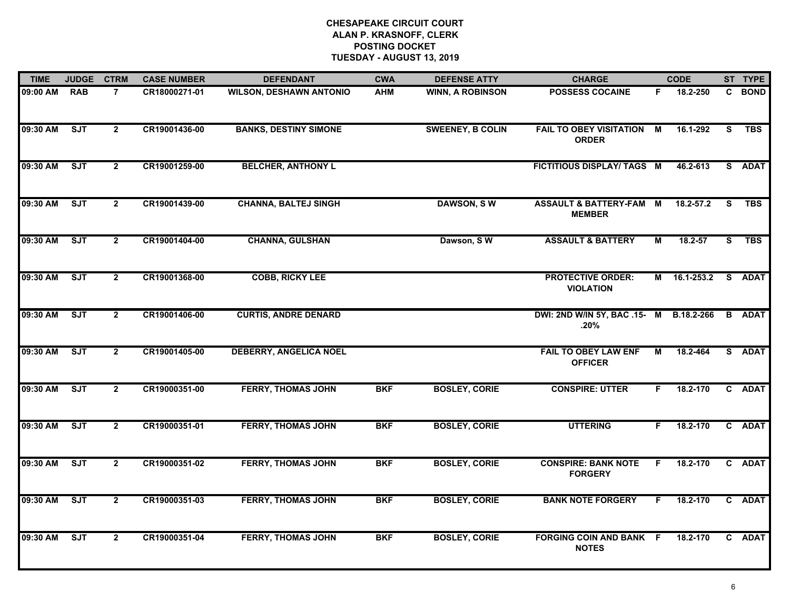| <b>TIME</b> | <b>JUDGE</b> | <b>CTRM</b>    | <b>CASE NUMBER</b> | <b>DEFENDANT</b>               | <b>CWA</b> | <b>DEFENSE ATTY</b>     | <b>CHARGE</b>                                       |    | <b>CODE</b>  |          | ST TYPE       |
|-------------|--------------|----------------|--------------------|--------------------------------|------------|-------------------------|-----------------------------------------------------|----|--------------|----------|---------------|
| 09:00 AM    | <b>RAB</b>   | $\overline{7}$ | CR18000271-01      | <b>WILSON, DESHAWN ANTONIO</b> | <b>AHM</b> | <b>WINN, A ROBINSON</b> | <b>POSSESS COCAINE</b>                              | F. | 18.2-250     |          | C BOND        |
| 09:30 AM    | SJT          | $\overline{2}$ | CR19001436-00      | <b>BANKS, DESTINY SIMONE</b>   |            | <b>SWEENEY, B COLIN</b> | <b>FAIL TO OBEY VISITATION</b><br><b>ORDER</b>      | M  | 16.1-292     | S.       | <b>TBS</b>    |
| 09:30 AM    | SJT          | $\mathbf{2}$   | CR19001259-00      | <b>BELCHER, ANTHONY L</b>      |            |                         | FICTITIOUS DISPLAY/ TAGS M                          |    | 46.2-613     |          | S ADAT        |
| 09:30 AM    | ST           | $\overline{2}$ | CR19001439-00      | <b>CHANNA, BALTEJ SINGH</b>    |            | <b>DAWSON, SW</b>       | <b>ASSAULT &amp; BATTERY-FAM M</b><br><b>MEMBER</b> |    | 18.2-57.2    | <b>S</b> | <b>TBS</b>    |
| 09:30 AM    | ST           | $\mathbf{2}$   | CR19001404-00      | <b>CHANNA, GULSHAN</b>         |            | Dawson, SW              | <b>ASSAULT &amp; BATTERY</b>                        | М  | 18.2-57      | S.       | <b>TBS</b>    |
| 09:30 AM    | ST           | $\overline{2}$ | CR19001368-00      | <b>COBB, RICKY LEE</b>         |            |                         | <b>PROTECTIVE ORDER:</b><br><b>VIOLATION</b>        |    | M 16.1-253.2 |          | S ADAT        |
| 09:30 AM    | ST           | $\overline{2}$ | CR19001406-00      | <b>CURTIS, ANDRE DENARD</b>    |            |                         | DWI: 2ND W/IN 5Y, BAC .15- M<br>.20%                |    | B.18.2-266   |          | <b>B</b> ADAT |
| 09:30 AM    | ST           | $\overline{2}$ | CR19001405-00      | <b>DEBERRY, ANGELICA NOEL</b>  |            |                         | <b>FAIL TO OBEY LAW ENF</b><br><b>OFFICER</b>       | М  | 18.2-464     |          | S ADAT        |
| 09:30 AM    | ST           | $\overline{2}$ | CR19000351-00      | <b>FERRY, THOMAS JOHN</b>      | <b>BKF</b> | <b>BOSLEY, CORIE</b>    | <b>CONSPIRE: UTTER</b>                              | F. | 18.2-170     |          | C ADAT        |
| 09:30 AM    | ST           | $\overline{2}$ | CR19000351-01      | <b>FERRY, THOMAS JOHN</b>      | <b>BKF</b> | <b>BOSLEY, CORIE</b>    | <b>UTTERING</b>                                     | F. | 18.2-170     |          | C ADAT        |
| 09:30 AM    | SJT          | $\overline{2}$ | CR19000351-02      | <b>FERRY, THOMAS JOHN</b>      | <b>BKF</b> | <b>BOSLEY, CORIE</b>    | <b>CONSPIRE: BANK NOTE</b><br><b>FORGERY</b>        | F. | 18.2-170     |          | C ADAT        |
| 09:30 AM    | ST           | $\overline{2}$ | CR19000351-03      | <b>FERRY, THOMAS JOHN</b>      | <b>BKF</b> | <b>BOSLEY, CORIE</b>    | <b>BANK NOTE FORGERY</b>                            | F. | 18.2-170     |          | C ADAT        |
| 09:30 AM    | SJT          | $\overline{2}$ | CR19000351-04      | <b>FERRY, THOMAS JOHN</b>      | <b>BKF</b> | <b>BOSLEY, CORIE</b>    | <b>FORGING COIN AND BANK F</b><br><b>NOTES</b>      |    | 18.2-170     |          | C ADAT        |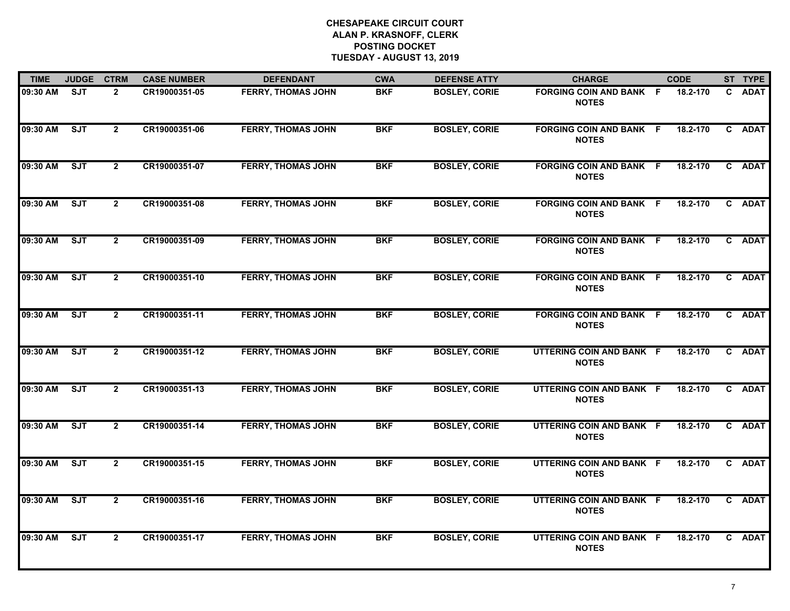| <b>TIME</b> | <b>JUDGE</b> | <b>CTRM</b>    | <b>CASE NUMBER</b> | <b>DEFENDANT</b>          | <b>CWA</b> | <b>DEFENSE ATTY</b>  | <b>CHARGE</b>                                  | <b>CODE</b> | ST TYPE |
|-------------|--------------|----------------|--------------------|---------------------------|------------|----------------------|------------------------------------------------|-------------|---------|
| 09:30 AM    | <b>SJT</b>   | $\overline{2}$ | CR19000351-05      | <b>FERRY, THOMAS JOHN</b> | <b>BKF</b> | <b>BOSLEY, CORIE</b> | <b>FORGING COIN AND BANK F</b><br><b>NOTES</b> | 18.2-170    | C ADAT  |
| 09:30 AM    | <b>SJT</b>   | $\overline{2}$ | CR19000351-06      | <b>FERRY, THOMAS JOHN</b> | <b>BKF</b> | <b>BOSLEY, CORIE</b> | <b>FORGING COIN AND BANK F</b><br><b>NOTES</b> | 18.2-170    | C ADAT  |
| 09:30 AM    | ST           | $\overline{2}$ | CR19000351-07      | <b>FERRY, THOMAS JOHN</b> | <b>BKF</b> | <b>BOSLEY, CORIE</b> | <b>FORGING COIN AND BANK F</b><br><b>NOTES</b> | 18.2-170    | C ADAT  |
| 09:30 AM    | ST           | $\overline{2}$ | CR19000351-08      | <b>FERRY, THOMAS JOHN</b> | <b>BKF</b> | <b>BOSLEY, CORIE</b> | <b>FORGING COIN AND BANK F</b><br><b>NOTES</b> | 18.2-170    | C ADAT  |
| 09:30 AM    | ST           | $\mathbf{2}$   | CR19000351-09      | <b>FERRY, THOMAS JOHN</b> | <b>BKF</b> | <b>BOSLEY, CORIE</b> | <b>FORGING COIN AND BANK F</b><br><b>NOTES</b> | 18.2-170    | C ADAT  |
| 09:30 AM    | SJT          | $\overline{2}$ | CR19000351-10      | <b>FERRY, THOMAS JOHN</b> | <b>BKF</b> | <b>BOSLEY, CORIE</b> | <b>FORGING COIN AND BANK F</b><br><b>NOTES</b> | 18.2-170    | C ADAT  |
| 09:30 AM    | ST           | $\overline{2}$ | CR19000351-11      | <b>FERRY, THOMAS JOHN</b> | <b>BKF</b> | <b>BOSLEY, CORIE</b> | <b>FORGING COIN AND BANK F</b><br><b>NOTES</b> | 18.2-170    | C ADAT  |
| 09:30 AM    | <b>SJT</b>   | $\overline{2}$ | CR19000351-12      | <b>FERRY, THOMAS JOHN</b> | <b>BKF</b> | <b>BOSLEY, CORIE</b> | UTTERING COIN AND BANK F<br><b>NOTES</b>       | 18.2-170    | C ADAT  |
| 09:30 AM    | ST           | $\overline{2}$ | CR19000351-13      | <b>FERRY, THOMAS JOHN</b> | <b>BKF</b> | <b>BOSLEY, CORIE</b> | UTTERING COIN AND BANK F<br><b>NOTES</b>       | 18.2-170    | C ADAT  |
| 09:30 AM    | ST           | $\overline{2}$ | CR19000351-14      | <b>FERRY, THOMAS JOHN</b> | <b>BKF</b> | <b>BOSLEY, CORIE</b> | UTTERING COIN AND BANK F<br><b>NOTES</b>       | 18.2-170    | C ADAT  |
| 09:30 AM    | ST           | $\overline{2}$ | CR19000351-15      | <b>FERRY, THOMAS JOHN</b> | <b>BKF</b> | <b>BOSLEY, CORIE</b> | UTTERING COIN AND BANK F<br><b>NOTES</b>       | 18.2-170    | C ADAT  |
| 09:30 AM    | SJT          | $\overline{2}$ | CR19000351-16      | <b>FERRY, THOMAS JOHN</b> | <b>BKF</b> | <b>BOSLEY, CORIE</b> | UTTERING COIN AND BANK F<br><b>NOTES</b>       | 18.2-170    | C ADAT  |
| 09:30 AM    | SJT          | $\overline{2}$ | CR19000351-17      | <b>FERRY, THOMAS JOHN</b> | <b>BKF</b> | <b>BOSLEY, CORIE</b> | UTTERING COIN AND BANK F<br><b>NOTES</b>       | 18.2-170    | C ADAT  |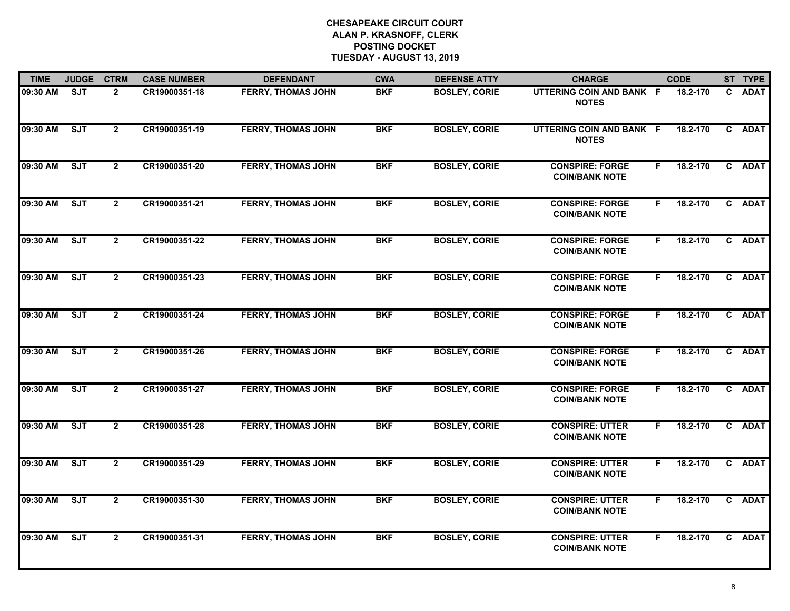| <b>TIME</b> | <b>JUDGE</b> | <b>CTRM</b>    | <b>CASE NUMBER</b> | <b>DEFENDANT</b>          | <b>CWA</b> | <b>DEFENSE ATTY</b>  | <b>CHARGE</b>                                   |    | <b>CODE</b> |              | ST TYPE     |
|-------------|--------------|----------------|--------------------|---------------------------|------------|----------------------|-------------------------------------------------|----|-------------|--------------|-------------|
| 09:30 AM    | <b>SJT</b>   | $\overline{2}$ | CR19000351-18      | <b>FERRY, THOMAS JOHN</b> | <b>BKF</b> | <b>BOSLEY, CORIE</b> | UTTERING COIN AND BANK F<br><b>NOTES</b>        |    | 18.2-170    | C.           | <b>ADAT</b> |
| 09:30 AM    | ST           | $\overline{2}$ | CR19000351-19      | <b>FERRY, THOMAS JOHN</b> | <b>BKF</b> | <b>BOSLEY, CORIE</b> | UTTERING COIN AND BANK F<br><b>NOTES</b>        |    | 18.2-170    | $\mathbf{c}$ | <b>ADAT</b> |
| 09:30 AM    | ST           | $\overline{2}$ | CR19000351-20      | <b>FERRY, THOMAS JOHN</b> | <b>BKF</b> | <b>BOSLEY, CORIE</b> | <b>CONSPIRE: FORGE</b><br><b>COIN/BANK NOTE</b> | F. | 18.2-170    |              | C ADAT      |
| 09:30 AM    | ST           | $\mathbf{2}$   | CR19000351-21      | <b>FERRY, THOMAS JOHN</b> | <b>BKF</b> | <b>BOSLEY, CORIE</b> | <b>CONSPIRE: FORGE</b><br><b>COIN/BANK NOTE</b> | F. | 18.2-170    |              | C ADAT      |
| 09:30 AM    | ST           | $\overline{2}$ | CR19000351-22      | <b>FERRY, THOMAS JOHN</b> | <b>BKF</b> | <b>BOSLEY, CORIE</b> | <b>CONSPIRE: FORGE</b><br><b>COIN/BANK NOTE</b> | F. | 18.2-170    |              | C ADAT      |
| 09:30 AM    | SJT          | $\overline{2}$ | CR19000351-23      | <b>FERRY, THOMAS JOHN</b> | <b>BKF</b> | <b>BOSLEY, CORIE</b> | <b>CONSPIRE: FORGE</b><br><b>COIN/BANK NOTE</b> | F. | 18.2-170    |              | C ADAT      |
| 09:30 AM    | ST           | $\overline{2}$ | CR19000351-24      | <b>FERRY, THOMAS JOHN</b> | <b>BKF</b> | <b>BOSLEY, CORIE</b> | <b>CONSPIRE: FORGE</b><br><b>COIN/BANK NOTE</b> | F. | 18.2-170    |              | C ADAT      |
| 09:30 AM    | SJT          | $\overline{2}$ | CR19000351-26      | <b>FERRY, THOMAS JOHN</b> | <b>BKF</b> | <b>BOSLEY, CORIE</b> | <b>CONSPIRE: FORGE</b><br><b>COIN/BANK NOTE</b> | F. | 18.2-170    |              | C ADAT      |
| 09:30 AM    | SJT          | $\overline{2}$ | CR19000351-27      | <b>FERRY, THOMAS JOHN</b> | <b>BKF</b> | <b>BOSLEY, CORIE</b> | <b>CONSPIRE: FORGE</b><br><b>COIN/BANK NOTE</b> | F. | 18.2-170    |              | C ADAT      |
| 09:30 AM    | ST           | $\overline{2}$ | CR19000351-28      | <b>FERRY, THOMAS JOHN</b> | <b>BKF</b> | <b>BOSLEY, CORIE</b> | <b>CONSPIRE: UTTER</b><br><b>COIN/BANK NOTE</b> | F. | 18.2-170    |              | C ADAT      |
| 09:30 AM    | <b>SJT</b>   | $\mathbf{2}$   | CR19000351-29      | <b>FERRY, THOMAS JOHN</b> | <b>BKF</b> | <b>BOSLEY, CORIE</b> | <b>CONSPIRE: UTTER</b><br><b>COIN/BANK NOTE</b> | F. | 18.2-170    |              | C ADAT      |
| 09:30 AM    | SJT          | $\overline{2}$ | CR19000351-30      | <b>FERRY, THOMAS JOHN</b> | <b>BKF</b> | <b>BOSLEY, CORIE</b> | <b>CONSPIRE: UTTER</b><br><b>COIN/BANK NOTE</b> | F. | 18.2-170    |              | C ADAT      |
| 09:30 AM    | SJT          | $\overline{2}$ | CR19000351-31      | <b>FERRY, THOMAS JOHN</b> | <b>BKF</b> | <b>BOSLEY, CORIE</b> | <b>CONSPIRE: UTTER</b><br><b>COIN/BANK NOTE</b> | F. | 18.2-170    |              | C ADAT      |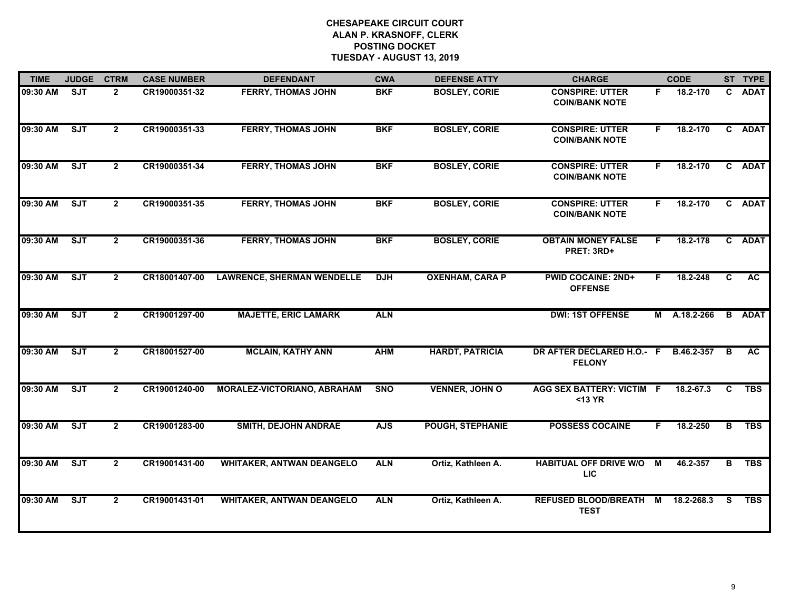| <b>TIME</b> | <b>JUDGE</b> | <b>CTRM</b>    | <b>CASE NUMBER</b> | <b>DEFENDANT</b>                   | <b>CWA</b> | <b>DEFENSE ATTY</b>     | <b>CHARGE</b>                                    |    | <b>CODE</b>  |    | ST TYPE       |
|-------------|--------------|----------------|--------------------|------------------------------------|------------|-------------------------|--------------------------------------------------|----|--------------|----|---------------|
| 09:30 AM    | <b>SJT</b>   | $\overline{2}$ | CR19000351-32      | <b>FERRY, THOMAS JOHN</b>          | <b>BKF</b> | <b>BOSLEY, CORIE</b>    | <b>CONSPIRE: UTTER</b><br><b>COIN/BANK NOTE</b>  | F. | 18.2-170     |    | C ADAT        |
| 09:30 AM    | SJT          | $\overline{2}$ | CR19000351-33      | <b>FERRY, THOMAS JOHN</b>          | <b>BKF</b> | <b>BOSLEY, CORIE</b>    | <b>CONSPIRE: UTTER</b><br><b>COIN/BANK NOTE</b>  | F. | 18.2-170     |    | C ADAT        |
| 09:30 AM    | ST           | $\mathbf{2}$   | CR19000351-34      | <b>FERRY, THOMAS JOHN</b>          | <b>BKF</b> | <b>BOSLEY, CORIE</b>    | <b>CONSPIRE: UTTER</b><br><b>COIN/BANK NOTE</b>  | F. | 18.2-170     |    | C ADAT        |
| 09:30 AM    | SJT          | $\mathbf{2}$   | CR19000351-35      | <b>FERRY, THOMAS JOHN</b>          | <b>BKF</b> | <b>BOSLEY, CORIE</b>    | <b>CONSPIRE: UTTER</b><br><b>COIN/BANK NOTE</b>  | F. | 18.2-170     |    | C ADAT        |
| 09:30 AM    | SJT          | $\overline{2}$ | CR19000351-36      | <b>FERRY, THOMAS JOHN</b>          | <b>BKF</b> | <b>BOSLEY, CORIE</b>    | <b>OBTAIN MONEY FALSE</b><br>PRET: 3RD+          | F. | 18.2-178     |    | C ADAT        |
| 09:30 AM    | ST           | $\overline{2}$ | CR18001407-00      | <b>LAWRENCE, SHERMAN WENDELLE</b>  | <b>DJH</b> | <b>OXENHAM, CARA P</b>  | <b>PWID COCAINE: 2ND+</b><br><b>OFFENSE</b>      | F. | 18.2-248     | C  | AC            |
| 09:30 AM    | ST           | $\mathbf{2}$   | CR19001297-00      | <b>MAJETTE, ERIC LAMARK</b>        | <b>ALN</b> |                         | <b>DWI: 1ST OFFENSE</b>                          |    | M A.18.2-266 |    | <b>B</b> ADAT |
| 09:30 AM    | SJT          | $\mathbf{2}$   | CR18001527-00      | <b>MCLAIN, KATHY ANN</b>           | <b>AHM</b> | <b>HARDT, PATRICIA</b>  | DR AFTER DECLARED H.O.- F<br><b>FELONY</b>       |    | B.46.2-357   | B  | AC.           |
| 09:30 AM    | ST           | $\overline{2}$ | CR19001240-00      | <b>MORALEZ-VICTORIANO, ABRAHAM</b> | <b>SNO</b> | <b>VENNER, JOHN O</b>   | <b>AGG SEX BATTERY: VICTIM F</b><br>$<$ 13 YR    |    | 18.2-67.3    | C  | <b>TBS</b>    |
| 09:30 AM    | ST           | $\overline{2}$ | CR19001283-00      | <b>SMITH, DEJOHN ANDRAE</b>        | <b>AJS</b> | <b>POUGH, STEPHANIE</b> | <b>POSSESS COCAINE</b>                           | F. | 18.2-250     | В  | <b>TBS</b>    |
| 09:30 AM    | <b>SJT</b>   | $\overline{2}$ | CR19001431-00      | <b>WHITAKER, ANTWAN DEANGELO</b>   | <b>ALN</b> | Ortiz, Kathleen A.      | <b>HABITUAL OFF DRIVE W/O M</b><br><b>LIC</b>    |    | 46.2-357     | B  | <b>TBS</b>    |
| 09:30 AM    | SJT          | $\mathbf{2}$   | CR19001431-01      | <b>WHITAKER, ANTWAN DEANGELO</b>   | <b>ALN</b> | Ortiz, Kathleen A.      | REFUSED BLOOD/BREATH M 18.2-268.3<br><b>TEST</b> |    |              | S. | <b>TBS</b>    |